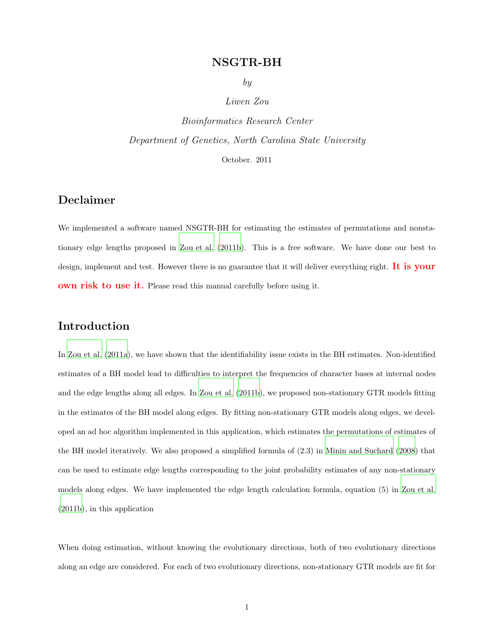## NSGTR-BH

by

#### Liwen Zou

<span id="page-0-0"></span>Bioinformatics Research Center Department of Genetics, North Carolina State University October. 2011

## Declaimer

We implemented a software named NSGTR-BH for estimating the estimates of permutations and nonstationary edge lengths proposed in [Zou et al. \(2011b\)](#page-10-0). This is a free software. We have done our best to design, implement and test. However there is no guarantee that it will deliver everything right. It is your own risk to use it. Please read this manual carefully before using it.

## Introduction

In [Zou et al. \(2011a](#page-10-1)), we have shown that the identifiability issue exists in the BH estimates. Non-identified estimates of a BH model lead to difficulties to interpret the frequencies of character bases at internal nodes and the edge lengths along all edges. In [Zou et al. \(2011b\)](#page-10-0), we proposed non-stationary GTR models fitting in the estimates of the BH model along edges. By fitting non-stationary GTR models along edges, we developed an ad hoc algorithm implemented in this application, which estimates the permutations of estimates of the BH model iteratively. We also proposed a simplified formula of (2.3) in [Minin and Suchard \(2008](#page-10-2)) that can be used to estimate edge lengths corresponding to the joint probability estimates of any non-stationary models along edges. We have implemented the edge length calculation formula, equation (5) in [Zou et al.](#page-10-0) [\(2011b](#page-10-0)), in this application

When doing estimation, without knowing the evolutionary directions, both of two evolutionary directions along an edge are considered. For each of two evolutionary directions, non-stationary GTR models are fit for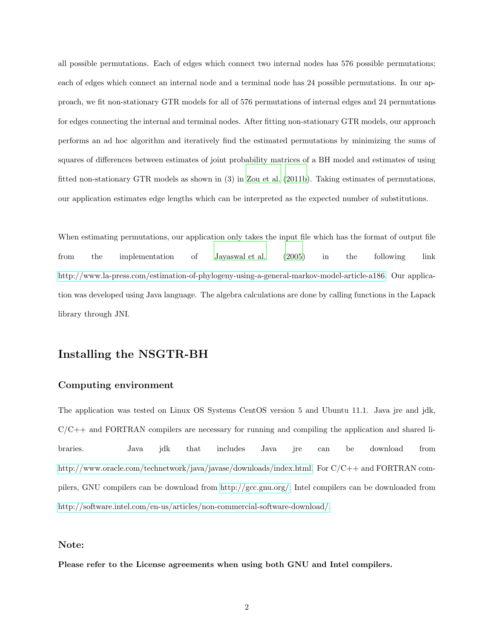all possible permutations. Each of edges which connect two internal nodes has 576 possible permutations; each of edges which connect an internal node and a terminal node has 24 possible permutations. In our approach, we fit non-stationary GTR models for all of 576 permutations of internal edges and 24 permutations for edges connecting the internal and terminal nodes. After fitting non-stationary GTR models, our approach performs an ad hoc algorithm and iteratively find the estimated permutations by minimizing the sums of squares of differences between estimates of joint probability matrices of a BH model and estimates of using fitted non-stationary GTR models as shown in (3) in [Zou et al. \(2011b](#page-10-0)). Taking estimates of permutations, our application estimates edge lengths which can be interpreted as the expected number of substitutions.

When estimating permutations, our application only takes the input file which has the format of output file from the implementation of [Jayaswal et al. \(2005\)](#page-10-3) in the following link [http://www.la-press.com/estimation-of-phylogeny-using-a-general-markov-model-article-a186.](http://www.la-press.com/estimation-of-phylogeny-using-a-general-markov-model-article-a186) Our application was developed using Java language. The algebra calculations are done by calling functions in the Lapack library through JNI.

## Installing the NSGTR-BH

#### Computing environment

The application was tested on Linux OS Systems CentOS version 5 and Ubuntu 11.1. Java jre and jdk,  $C/C++$  and FORTRAN compilers are necessary for running and compiling the application and shared libraries. Java jdk that includes Java jre can be download from [http://www.oracle.com/technetwork/java/javase/downloads/index.html.](http://www.oracle.com/technetwork/java/javase/downloads/index.html) For  $C/C++$  and FORTRAN compilers, GNU compilers can be download from [http://gcc.gnu.org/;](http://gcc.gnu.org/) Intel compilers can be downloaded from [http://software.intel.com/en-us/articles/non-commercial-software-download/.](http://software.intel.com/en-us/articles/non-commercial-software-download/)

#### Note:

Please refer to the License agreements when using both GNU and Intel compilers.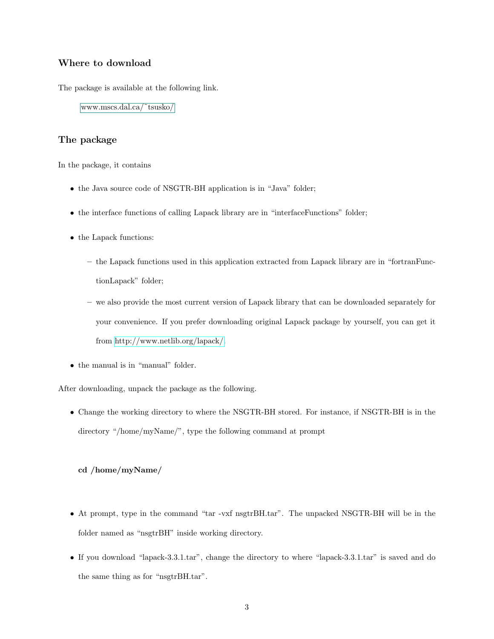#### Where to download

The package is available at the following link.

[www.mscs.dal.ca/˜tsusko/](#page-0-0)

#### The package

In the package, it contains

- the Java source code of NSGTR-BH application is in "Java" folder;
- the interface functions of calling Lapack library are in "interfaceFunctions" folder;
- the Lapack functions:
	- the Lapack functions used in this application extracted from Lapack library are in "fortranFunctionLapack" folder;
	- we also provide the most current version of Lapack library that can be downloaded separately for your convenience. If you prefer downloading original Lapack package by yourself, you can get it from [http://www.netlib.org/lapack/.](http://www.netlib.org/lapack/)
- the manual is in "manual" folder.

After downloading, unpack the package as the following.

• Change the working directory to where the NSGTR-BH stored. For instance, if NSGTR-BH is in the directory "/home/myName/", type the following command at prompt

#### cd /home/myName/

- At prompt, type in the command "tar -vxf nsgtrBH.tar". The unpacked NSGTR-BH will be in the folder named as "nsgtrBH" inside working directory.
- If you download "lapack-3.3.1.tar", change the directory to where "lapack-3.3.1.tar" is saved and do the same thing as for "nsgtrBH.tar".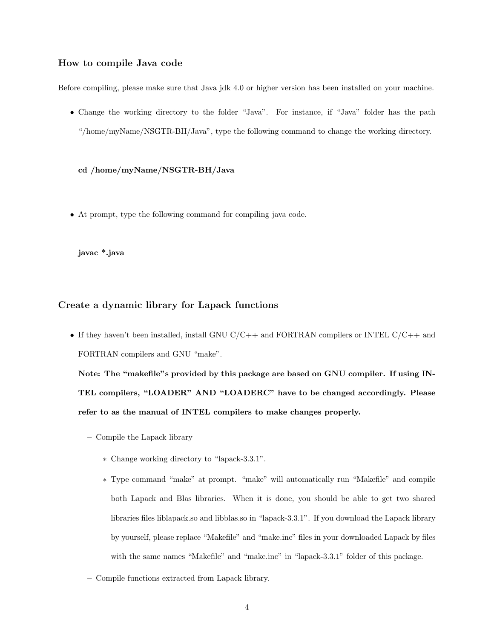#### How to compile Java code

Before compiling, please make sure that Java jdk 4.0 or higher version has been installed on your machine.

• Change the working directory to the folder "Java". For instance, if "Java" folder has the path "/home/myName/NSGTR-BH/Java", type the following command to change the working directory.

cd /home/myName/NSGTR-BH/Java

• At prompt, type the following command for compiling java code.

javac \*.java

#### Create a dynamic library for Lapack functions

• If they haven't been installed, install GNU  $C/C++$  and FORTRAN compilers or INTEL  $C/C++$  and FORTRAN compilers and GNU "make".

Note: The "makefile"s provided by this package are based on GNU compiler. If using IN-TEL compilers, "LOADER" AND "LOADERC" have to be changed accordingly. Please refer to as the manual of INTEL compilers to make changes properly.

- Compile the Lapack library
	- ∗ Change working directory to "lapack-3.3.1".
	- ∗ Type command "make" at prompt. "make" will automatically run "Makefile" and compile both Lapack and Blas libraries. When it is done, you should be able to get two shared libraries files liblapack.so and libblas.so in "lapack-3.3.1". If you download the Lapack library by yourself, please replace "Makefile" and "make.inc" files in your downloaded Lapack by files with the same names "Makefile" and "make.inc" in "lapack-3.3.1" folder of this package.
- Compile functions extracted from Lapack library.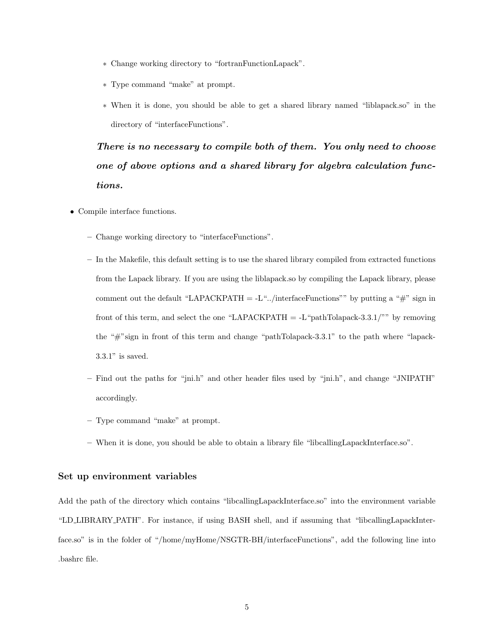- ∗ Change working directory to "fortranFunctionLapack".
- ∗ Type command "make" at prompt.
- ∗ When it is done, you should be able to get a shared library named "liblapack.so" in the directory of "interfaceFunctions".

*There is no necessary to compile both of them. You only need to choose one of above options and a shared library for algebra calculation functions.*

- Compile interface functions.
	- Change working directory to "interfaceFunctions".
	- In the Makefile, this default setting is to use the shared library compiled from extracted functions from the Lapack library. If you are using the liblapack.so by compiling the Lapack library, please comment out the default "LAPACKPATH  $=$  -L".../interfaceFunctions"" by putting a "#" sign in front of this term, and select the one "LAPACKPATH  $=$  -L"pathTolapack-3.3.1/"" by removing the "#"sign in front of this term and change "pathTolapack-3.3.1" to the path where "lapack-3.3.1" is saved.
	- Find out the paths for "jni.h" and other header files used by "jni.h", and change "JNIPATH" accordingly.
	- Type command "make" at prompt.
	- When it is done, you should be able to obtain a library file "libcallingLapackInterface.so".

#### Set up environment variables

Add the path of the directory which contains "libcallingLapackInterface.so" into the environment variable "LD LIBRARY PATH". For instance, if using BASH shell, and if assuming that "libcallingLapackInterface.so" is in the folder of "/home/myHome/NSGTR-BH/interfaceFunctions", add the following line into .bashrc file.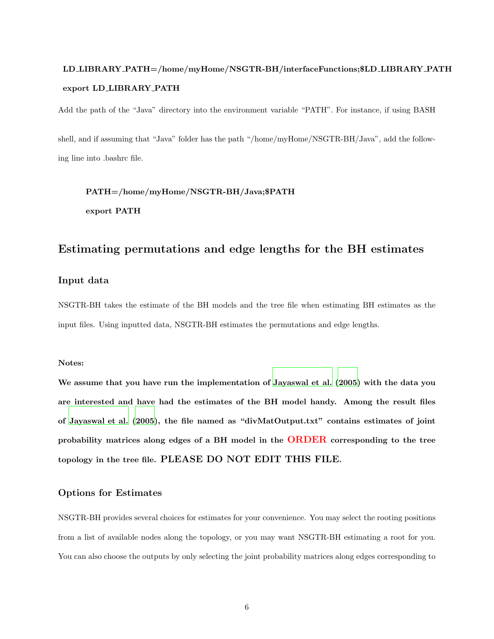# LD LIBRARY PATH=/home/myHome/NSGTR-BH/interfaceFunctions;\$LD LIBRARY PATH export LD LIBRARY PATH

Add the path of the "Java" directory into the environment variable "PATH". For instance, if using BASH

shell, and if assuming that "Java" folder has the path "/home/myHome/NSGTR-BH/Java", add the following line into .bashrc file.

PATH=/home/myHome/NSGTR-BH/Java;\$PATH export PATH

## Estimating permutations and edge lengths for the BH estimates

#### Input data

NSGTR-BH takes the estimate of the BH models and the tree file when estimating BH estimates as the input files. Using inputted data, NSGTR-BH estimates the permutations and edge lengths.

#### Notes:

We assume that you have run the implementation of [Jayaswal et al. \(2005\)](#page-10-3) with the data you are interested and have had the estimates of the BH model handy. Among the result files of [Jayaswal et al. \(2005](#page-10-3)), the file named as "divMatOutput.txt" contains estimates of joint probability matrices along edges of a BH model in the ORDER corresponding to the tree topology in the tree file. PLEASE DO NOT EDIT THIS FILE.

#### Options for Estimates

NSGTR-BH provides several choices for estimates for your convenience. You may select the rooting positions from a list of available nodes along the topology, or you may want NSGTR-BH estimating a root for you. You can also choose the outputs by only selecting the joint probability matrices along edges corresponding to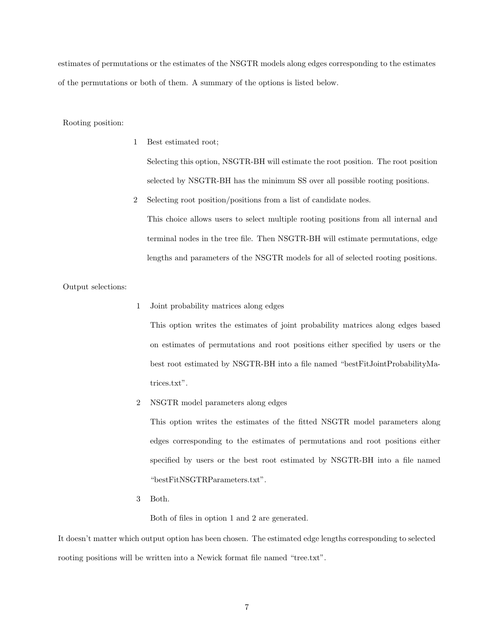estimates of permutations or the estimates of the NSGTR models along edges corresponding to the estimates of the permutations or both of them. A summary of the options is listed below.

Rooting position:

1 Best estimated root;

Selecting this option, NSGTR-BH will estimate the root position. The root position selected by NSGTR-BH has the minimum SS over all possible rooting positions.

2 Selecting root position/positions from a list of candidate nodes.

This choice allows users to select multiple rooting positions from all internal and terminal nodes in the tree file. Then NSGTR-BH will estimate permutations, edge lengths and parameters of the NSGTR models for all of selected rooting positions.

Output selections:

1 Joint probability matrices along edges

This option writes the estimates of joint probability matrices along edges based on estimates of permutations and root positions either specified by users or the best root estimated by NSGTR-BH into a file named "bestFitJointProbabilityMatrices.txt".

2 NSGTR model parameters along edges

This option writes the estimates of the fitted NSGTR model parameters along edges corresponding to the estimates of permutations and root positions either specified by users or the best root estimated by NSGTR-BH into a file named "bestFitNSGTRParameters.txt".

3 Both.

Both of files in option 1 and 2 are generated.

It doesn't matter which output option has been chosen. The estimated edge lengths corresponding to selected rooting positions will be written into a Newick format file named "tree.txt".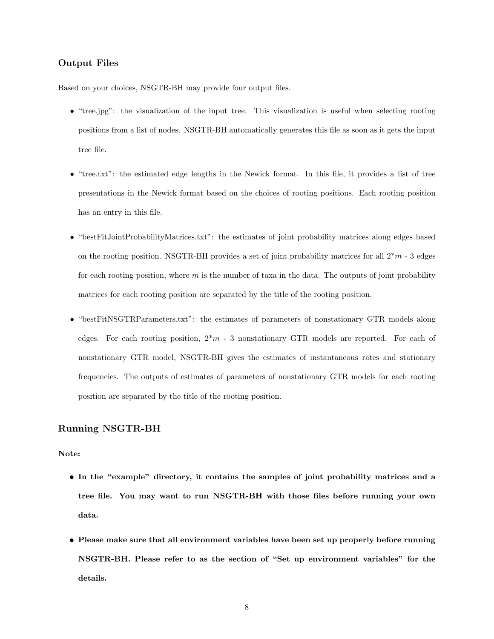#### Output Files

Based on your choices, NSGTR-BH may provide four output files.

- "tree.jpg": the visualization of the input tree. This visualization is useful when selecting rooting positions from a list of nodes. NSGTR-BH automatically generates this file as soon as it gets the input tree file.
- "tree.txt": the estimated edge lengths in the Newick format. In this file, it provides a list of tree presentations in the Newick format based on the choices of rooting positions. Each rooting position has an entry in this file.
- "bestFitJointProbabilityMatrices.txt": the estimates of joint probability matrices along edges based on the rooting position. NSGTR-BH provides a set of joint probability matrices for all  $2*m - 3$  edges for each rooting position, where  $m$  is the number of taxa in the data. The outputs of joint probability matrices for each rooting position are separated by the title of the rooting position.
- "bestFitNSGTRParameters.txt": the estimates of parameters of nonstationary GTR models along edges. For each rooting position,  $2\pi m - 3$  nonstationary GTR models are reported. For each of nonstationary GTR model, NSGTR-BH gives the estimates of instantaneous rates and stationary frequencies. The outputs of estimates of parameters of nonstationary GTR models for each rooting position are separated by the title of the rooting position.

#### Running NSGTR-BH

#### Note:

- In the "example" directory, it contains the samples of joint probability matrices and a tree file. You may want to run NSGTR-BH with those files before running your own data.
- Please make sure that all environment variables have been set up properly before running NSGTR-BH. Please refer to as the section of "Set up environment variables" for the details.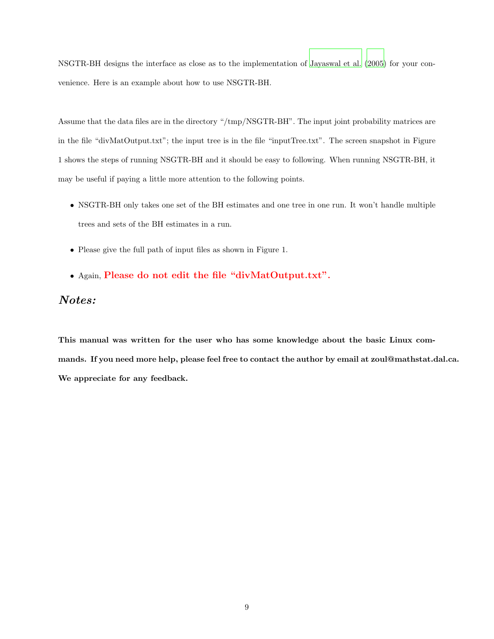NSGTR-BH designs the interface as close as to the implementation of [Jayaswal et al. \(2005\)](#page-10-3) for your convenience. Here is an example about how to use NSGTR-BH.

Assume that the data files are in the directory "/tmp/NSGTR-BH". The input joint probability matrices are in the file "divMatOutput.txt"; the input tree is in the file "inputTree.txt". The screen snapshot in Figure 1 shows the steps of running NSGTR-BH and it should be easy to following. When running NSGTR-BH, it may be useful if paying a little more attention to the following points.

- NSGTR-BH only takes one set of the BH estimates and one tree in one run. It won't handle multiple trees and sets of the BH estimates in a run.
- Please give the full path of input files as shown in Figure 1.
- Again, Please do not edit the file "divMatOutput.txt".

## *Notes:*

This manual was written for the user who has some knowledge about the basic Linux commands. If you need more help, please feel free to contact the author by email at zoul@mathstat.dal.ca. We appreciate for any feedback.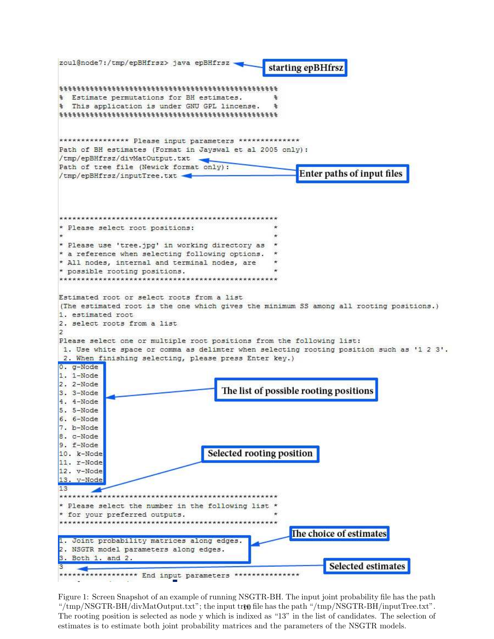

Figure 1: Screen Snapshot of an example of running NSGTR-BH. The input joint probability file has the path "/tmp/NSGTR-BH/divMatOutput.txt"; the input tree file has the path "/tmp/NSGTR-BH/inputTree.txt". The rooting position is selected as node y which is indixed as "13" in the list of candidates. The selection of estimates is to estimate both joint probability matrices and the parameters of the NSGTR models.